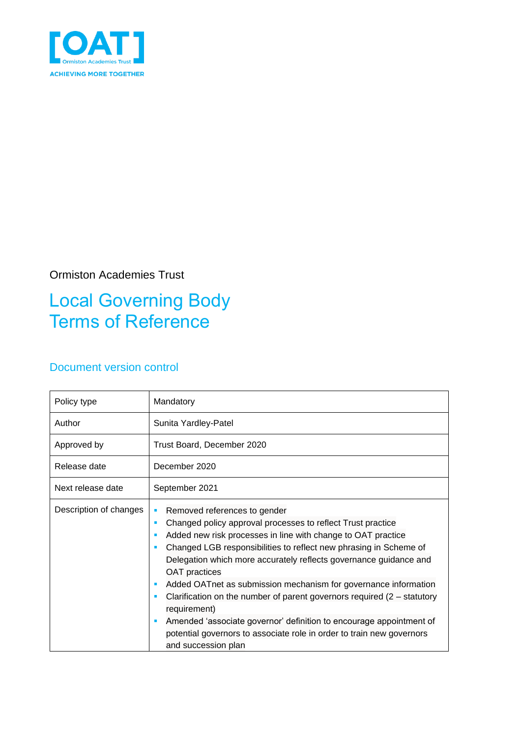

#### Ormiston Academies Trust

### Local Governing Body Terms of Reference

#### Document version control

| Policy type            | Mandatory                                                                                                                                                                                                                                                                                                                                                                                                                                                                                                                                                                                                                                                                         |  |
|------------------------|-----------------------------------------------------------------------------------------------------------------------------------------------------------------------------------------------------------------------------------------------------------------------------------------------------------------------------------------------------------------------------------------------------------------------------------------------------------------------------------------------------------------------------------------------------------------------------------------------------------------------------------------------------------------------------------|--|
| Author                 | Sunita Yardley-Patel                                                                                                                                                                                                                                                                                                                                                                                                                                                                                                                                                                                                                                                              |  |
| Approved by            | Trust Board, December 2020                                                                                                                                                                                                                                                                                                                                                                                                                                                                                                                                                                                                                                                        |  |
| Release date           | December 2020                                                                                                                                                                                                                                                                                                                                                                                                                                                                                                                                                                                                                                                                     |  |
| Next release date      | September 2021                                                                                                                                                                                                                                                                                                                                                                                                                                                                                                                                                                                                                                                                    |  |
| Description of changes | Removed references to gender<br>Changed policy approval processes to reflect Trust practice<br><b>SI</b><br>Added new risk processes in line with change to OAT practice<br>Changed LGB responsibilities to reflect new phrasing in Scheme of<br>Delegation which more accurately reflects governance guidance and<br><b>OAT</b> practices<br>Added OATnet as submission mechanism for governance information<br>Clarification on the number of parent governors required $(2 -$ statutory<br>requirement)<br>Amended 'associate governor' definition to encourage appointment of<br>potential governors to associate role in order to train new governors<br>and succession plan |  |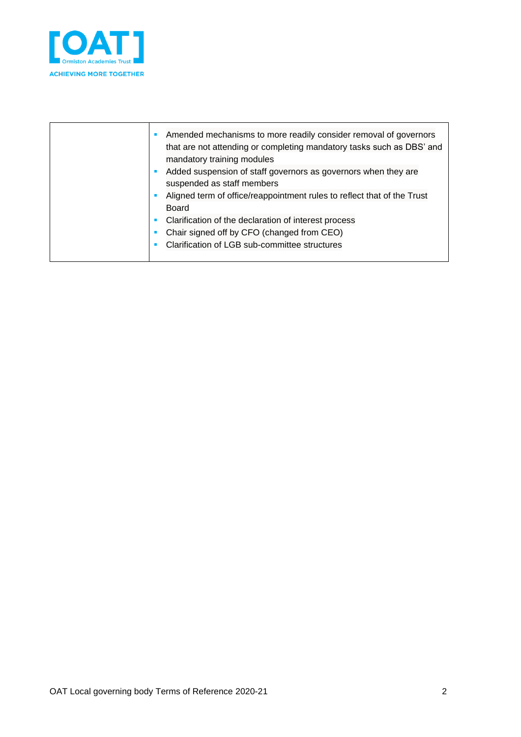

| Amended mechanisms to more readily consider removal of governors<br>that are not attending or completing mandatory tasks such as DBS' and<br>mandatory training modules<br>Added suspension of staff governors as governors when they are<br>suspended as staff members<br>Aligned term of office/reappointment rules to reflect that of the Trust<br>Board<br>Clarification of the declaration of interest process<br>Chair signed off by CFO (changed from CEO)<br>Clarification of LGB sub-committee structures |  |
|--------------------------------------------------------------------------------------------------------------------------------------------------------------------------------------------------------------------------------------------------------------------------------------------------------------------------------------------------------------------------------------------------------------------------------------------------------------------------------------------------------------------|--|
|--------------------------------------------------------------------------------------------------------------------------------------------------------------------------------------------------------------------------------------------------------------------------------------------------------------------------------------------------------------------------------------------------------------------------------------------------------------------------------------------------------------------|--|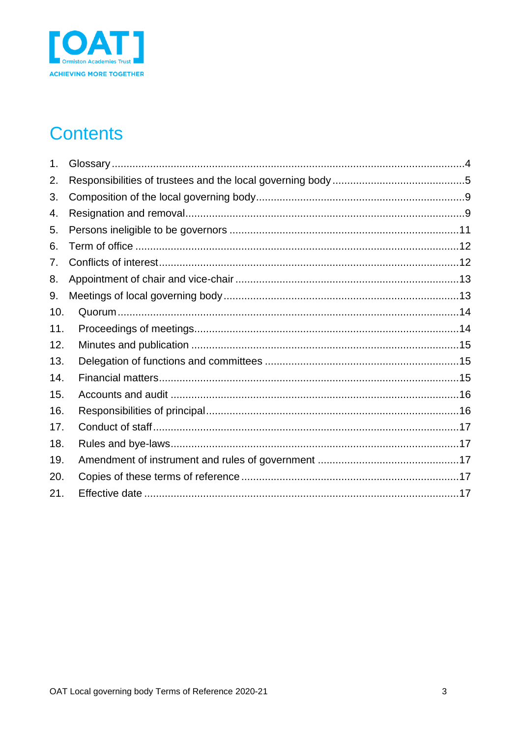

# **Contents**

| 1.  |  |
|-----|--|
| 2.  |  |
| 3.  |  |
| 4.  |  |
| 5.  |  |
| 6.  |  |
| 7.  |  |
| 8.  |  |
| 9.  |  |
| 10. |  |
| 11. |  |
| 12. |  |
| 13. |  |
| 14. |  |
| 15. |  |
| 16. |  |
| 17. |  |
| 18. |  |
| 19. |  |
| 20. |  |
| 21. |  |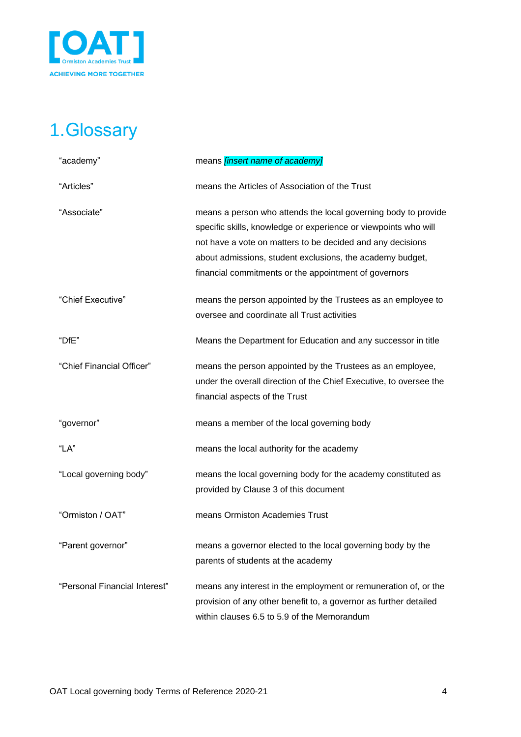

# <span id="page-3-0"></span>1.Glossary

| "academy"                     | means <i>[insert name of academy]</i>                              |
|-------------------------------|--------------------------------------------------------------------|
| "Articles"                    | means the Articles of Association of the Trust                     |
| "Associate"                   | means a person who attends the local governing body to provide     |
|                               | specific skills, knowledge or experience or viewpoints who will    |
|                               | not have a vote on matters to be decided and any decisions         |
|                               | about admissions, student exclusions, the academy budget,          |
|                               | financial commitments or the appointment of governors              |
| "Chief Executive"             | means the person appointed by the Trustees as an employee to       |
|                               | oversee and coordinate all Trust activities                        |
| "DfE"                         | Means the Department for Education and any successor in title      |
| "Chief Financial Officer"     | means the person appointed by the Trustees as an employee,         |
|                               | under the overall direction of the Chief Executive, to oversee the |
|                               | financial aspects of the Trust                                     |
| "governor"                    | means a member of the local governing body                         |
| "LA"                          | means the local authority for the academy                          |
| "Local governing body"        | means the local governing body for the academy constituted as      |
|                               | provided by Clause 3 of this document                              |
| "Ormiston / OAT"              | means Ormiston Academies Trust                                     |
| "Parent governor"             | means a governor elected to the local governing body by the        |
|                               | parents of students at the academy                                 |
| "Personal Financial Interest" | means any interest in the employment or remuneration of, or the    |
|                               | provision of any other benefit to, a governor as further detailed  |
|                               | within clauses 6.5 to 5.9 of the Memorandum                        |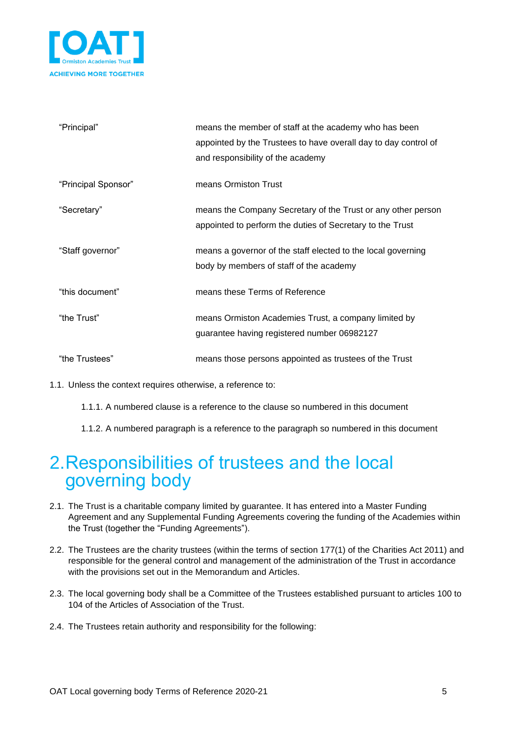

| "Principal"         | means the member of staff at the academy who has been<br>appointed by the Trustees to have overall day to day control of<br>and responsibility of the academy |
|---------------------|---------------------------------------------------------------------------------------------------------------------------------------------------------------|
| "Principal Sponsor" | means Ormiston Trust                                                                                                                                          |
| "Secretary"         | means the Company Secretary of the Trust or any other person<br>appointed to perform the duties of Secretary to the Trust                                     |
| "Staff governor"    | means a governor of the staff elected to the local governing<br>body by members of staff of the academy                                                       |
| "this document"     | means these Terms of Reference                                                                                                                                |
| "the Trust"         | means Ormiston Academies Trust, a company limited by<br>guarantee having registered number 06982127                                                           |
| "the Trustees"      | means those persons appointed as trustees of the Trust                                                                                                        |

1.1. Unless the context requires otherwise, a reference to:

1.1.1. A numbered clause is a reference to the clause so numbered in this document

1.1.2. A numbered paragraph is a reference to the paragraph so numbered in this document

#### <span id="page-4-0"></span>2.Responsibilities of trustees and the local governing body

- 2.1. The Trust is a charitable company limited by guarantee. It has entered into a Master Funding Agreement and any Supplemental Funding Agreements covering the funding of the Academies within the Trust (together the "Funding Agreements").
- 2.2. The Trustees are the charity trustees (within the terms of section 177(1) of the Charities Act 2011) and responsible for the general control and management of the administration of the Trust in accordance with the provisions set out in the Memorandum and Articles.
- 2.3. The local governing body shall be a Committee of the Trustees established pursuant to articles 100 to 104 of the Articles of Association of the Trust.
- 2.4. The Trustees retain authority and responsibility for the following: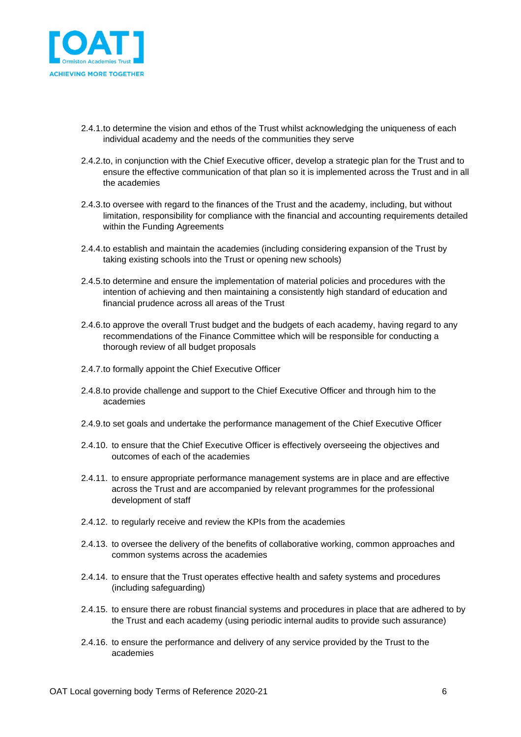

- 2.4.1.to determine the vision and ethos of the Trust whilst acknowledging the uniqueness of each individual academy and the needs of the communities they serve
- 2.4.2.to, in conjunction with the Chief Executive officer, develop a strategic plan for the Trust and to ensure the effective communication of that plan so it is implemented across the Trust and in all the academies
- 2.4.3.to oversee with regard to the finances of the Trust and the academy, including, but without limitation, responsibility for compliance with the financial and accounting requirements detailed within the Funding Agreements
- 2.4.4.to establish and maintain the academies (including considering expansion of the Trust by taking existing schools into the Trust or opening new schools)
- 2.4.5.to determine and ensure the implementation of material policies and procedures with the intention of achieving and then maintaining a consistently high standard of education and financial prudence across all areas of the Trust
- 2.4.6.to approve the overall Trust budget and the budgets of each academy, having regard to any recommendations of the Finance Committee which will be responsible for conducting a thorough review of all budget proposals
- 2.4.7.to formally appoint the Chief Executive Officer
- 2.4.8.to provide challenge and support to the Chief Executive Officer and through him to the academies
- 2.4.9.to set goals and undertake the performance management of the Chief Executive Officer
- 2.4.10. to ensure that the Chief Executive Officer is effectively overseeing the objectives and outcomes of each of the academies
- 2.4.11. to ensure appropriate performance management systems are in place and are effective across the Trust and are accompanied by relevant programmes for the professional development of staff
- 2.4.12. to regularly receive and review the KPIs from the academies
- 2.4.13. to oversee the delivery of the benefits of collaborative working, common approaches and common systems across the academies
- 2.4.14. to ensure that the Trust operates effective health and safety systems and procedures (including safeguarding)
- 2.4.15. to ensure there are robust financial systems and procedures in place that are adhered to by the Trust and each academy (using periodic internal audits to provide such assurance)
- 2.4.16. to ensure the performance and delivery of any service provided by the Trust to the academies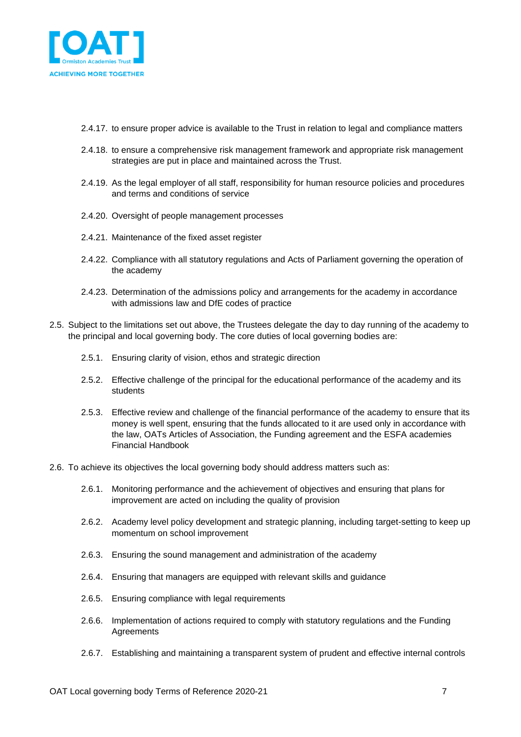

- 2.4.17. to ensure proper advice is available to the Trust in relation to legal and compliance matters
- 2.4.18. to ensure a comprehensive risk management framework and appropriate risk management strategies are put in place and maintained across the Trust.
- 2.4.19. As the legal employer of all staff, responsibility for human resource policies and procedures and terms and conditions of service
- 2.4.20. Oversight of people management processes
- 2.4.21. Maintenance of the fixed asset register
- 2.4.22. Compliance with all statutory regulations and Acts of Parliament governing the operation of the academy
- 2.4.23. Determination of the admissions policy and arrangements for the academy in accordance with admissions law and DfE codes of practice
- 2.5. Subject to the limitations set out above, the Trustees delegate the day to day running of the academy to the principal and local governing body. The core duties of local governing bodies are:
	- 2.5.1. Ensuring clarity of vision, ethos and strategic direction
	- 2.5.2. Effective challenge of the principal for the educational performance of the academy and its students
	- 2.5.3. Effective review and challenge of the financial performance of the academy to ensure that its money is well spent, ensuring that the funds allocated to it are used only in accordance with the law, OATs Articles of Association, the Funding agreement and the ESFA academies Financial Handbook
- 2.6. To achieve its objectives the local governing body should address matters such as:
	- 2.6.1. Monitoring performance and the achievement of objectives and ensuring that plans for improvement are acted on including the quality of provision
	- 2.6.2. Academy level policy development and strategic planning, including target-setting to keep up momentum on school improvement
	- 2.6.3. Ensuring the sound management and administration of the academy
	- 2.6.4. Ensuring that managers are equipped with relevant skills and guidance
	- 2.6.5. Ensuring compliance with legal requirements
	- 2.6.6. Implementation of actions required to comply with statutory regulations and the Funding **Agreements**
	- 2.6.7. Establishing and maintaining a transparent system of prudent and effective internal controls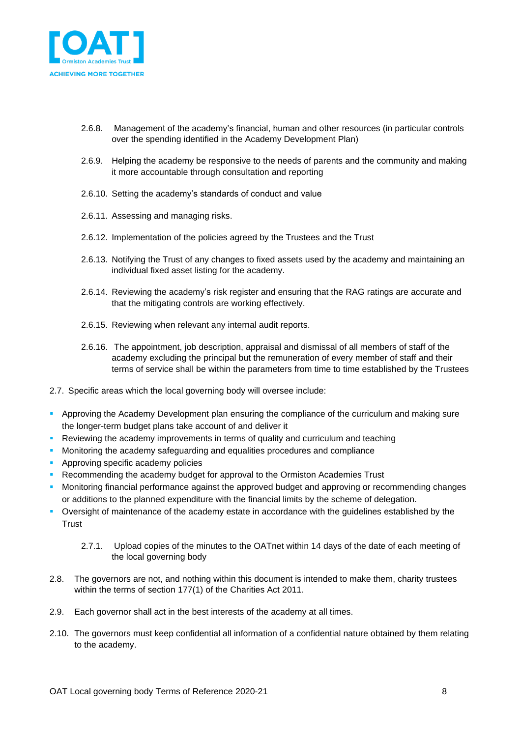

- 2.6.8. Management of the academy's financial, human and other resources (in particular controls over the spending identified in the Academy Development Plan)
- 2.6.9. Helping the academy be responsive to the needs of parents and the community and making it more accountable through consultation and reporting
- 2.6.10. Setting the academy's standards of conduct and value
- 2.6.11. Assessing and managing risks.
- 2.6.12. Implementation of the policies agreed by the Trustees and the Trust
- 2.6.13. Notifying the Trust of any changes to fixed assets used by the academy and maintaining an individual fixed asset listing for the academy.
- 2.6.14. Reviewing the academy's risk register and ensuring that the RAG ratings are accurate and that the mitigating controls are working effectively.
- 2.6.15. Reviewing when relevant any internal audit reports.
- 2.6.16. The appointment, job description, appraisal and dismissal of all members of staff of the academy excluding the principal but the remuneration of every member of staff and their terms of service shall be within the parameters from time to time established by the Trustees
- 2.7. Specific areas which the local governing body will oversee include:
- **Approving the Academy Development plan ensuring the compliance of the curriculum and making sure** the longer-term budget plans take account of and deliver it
- **Reviewing the academy improvements in terms of quality and curriculum and teaching**
- **Monitoring the academy safeguarding and equalities procedures and compliance**
- **EXECUTE:** Approving specific academy policies
- **Recommending the academy budget for approval to the Ormiston Academies Trust**
- **•** Monitoring financial performance against the approved budget and approving or recommending changes or additions to the planned expenditure with the financial limits by the scheme of delegation.
- Oversight of maintenance of the academy estate in accordance with the guidelines established by the **Trust** 
	- 2.7.1. Upload copies of the minutes to the OATnet within 14 days of the date of each meeting of the local governing body
- 2.8. The governors are not, and nothing within this document is intended to make them, charity trustees within the terms of section 177(1) of the Charities Act 2011.
- 2.9. Each governor shall act in the best interests of the academy at all times.
- 2.10. The governors must keep confidential all information of a confidential nature obtained by them relating to the academy.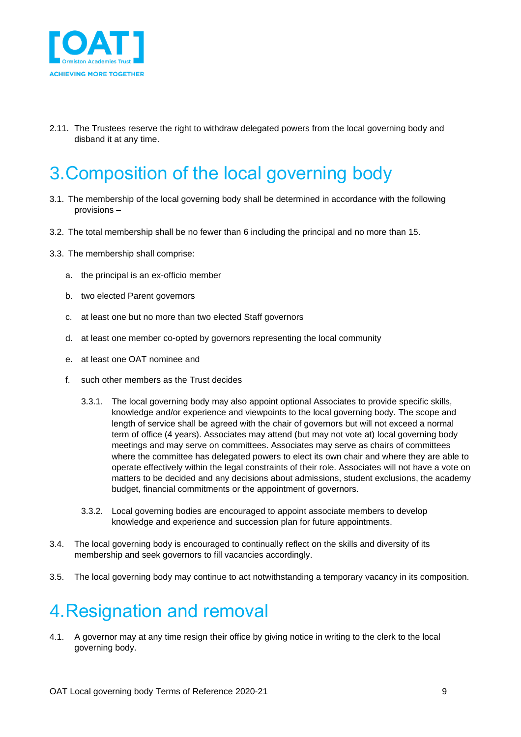

2.11. The Trustees reserve the right to withdraw delegated powers from the local governing body and disband it at any time.

# <span id="page-8-0"></span>3.Composition of the local governing body

- 3.1. The membership of the local governing body shall be determined in accordance with the following provisions –
- 3.2. The total membership shall be no fewer than 6 including the principal and no more than 15.
- 3.3. The membership shall comprise:
	- a. the principal is an ex-officio member
	- b. two elected Parent governors
	- c. at least one but no more than two elected Staff governors
	- d. at least one member co-opted by governors representing the local community
	- e. at least one OAT nominee and
	- f. such other members as the Trust decides
		- 3.3.1. The local governing body may also appoint optional Associates to provide specific skills, knowledge and/or experience and viewpoints to the local governing body. The scope and length of service shall be agreed with the chair of governors but will not exceed a normal term of office (4 years). Associates may attend (but may not vote at) local governing body meetings and may serve on committees. Associates may serve as chairs of committees where the committee has delegated powers to elect its own chair and where they are able to operate effectively within the legal constraints of their role. Associates will not have a vote on matters to be decided and any decisions about admissions, student exclusions, the academy budget, financial commitments or the appointment of governors.
		- 3.3.2. Local governing bodies are encouraged to appoint associate members to develop knowledge and experience and succession plan for future appointments.
- 3.4. The local governing body is encouraged to continually reflect on the skills and diversity of its membership and seek governors to fill vacancies accordingly.
- 3.5. The local governing body may continue to act notwithstanding a temporary vacancy in its composition.

## <span id="page-8-1"></span>4.Resignation and removal

4.1. A governor may at any time resign their office by giving notice in writing to the clerk to the local governing body.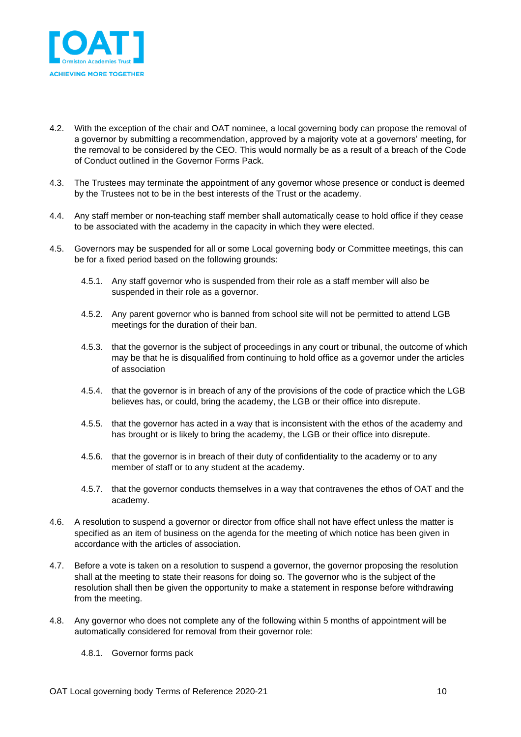

- 4.2. With the exception of the chair and OAT nominee, a local governing body can propose the removal of a governor by submitting a recommendation, approved by a majority vote at a governors' meeting, for the removal to be considered by the CEO. This would normally be as a result of a breach of the Code of Conduct outlined in the Governor Forms Pack.
- 4.3. The Trustees may terminate the appointment of any governor whose presence or conduct is deemed by the Trustees not to be in the best interests of the Trust or the academy.
- 4.4. Any staff member or non-teaching staff member shall automatically cease to hold office if they cease to be associated with the academy in the capacity in which they were elected.
- 4.5. Governors may be suspended for all or some Local governing body or Committee meetings, this can be for a fixed period based on the following grounds:
	- 4.5.1. Any staff governor who is suspended from their role as a staff member will also be suspended in their role as a governor.
	- 4.5.2. Any parent governor who is banned from school site will not be permitted to attend LGB meetings for the duration of their ban.
	- 4.5.3. that the governor is the subject of proceedings in any court or tribunal, the outcome of which may be that he is disqualified from continuing to hold office as a governor under the articles of association
	- 4.5.4. that the governor is in breach of any of the provisions of the code of practice which the LGB believes has, or could, bring the academy, the LGB or their office into disrepute.
	- 4.5.5. that the governor has acted in a way that is inconsistent with the ethos of the academy and has brought or is likely to bring the academy, the LGB or their office into disrepute.
	- 4.5.6. that the governor is in breach of their duty of confidentiality to the academy or to any member of staff or to any student at the academy.
	- 4.5.7. that the governor conducts themselves in a way that contravenes the ethos of OAT and the academy.
- 4.6. A resolution to suspend a governor or director from office shall not have effect unless the matter is specified as an item of business on the agenda for the meeting of which notice has been given in accordance with the articles of association.
- 4.7. Before a vote is taken on a resolution to suspend a governor, the governor proposing the resolution shall at the meeting to state their reasons for doing so. The governor who is the subject of the resolution shall then be given the opportunity to make a statement in response before withdrawing from the meeting.
- 4.8. Any governor who does not complete any of the following within 5 months of appointment will be automatically considered for removal from their governor role:
	- 4.8.1. Governor forms pack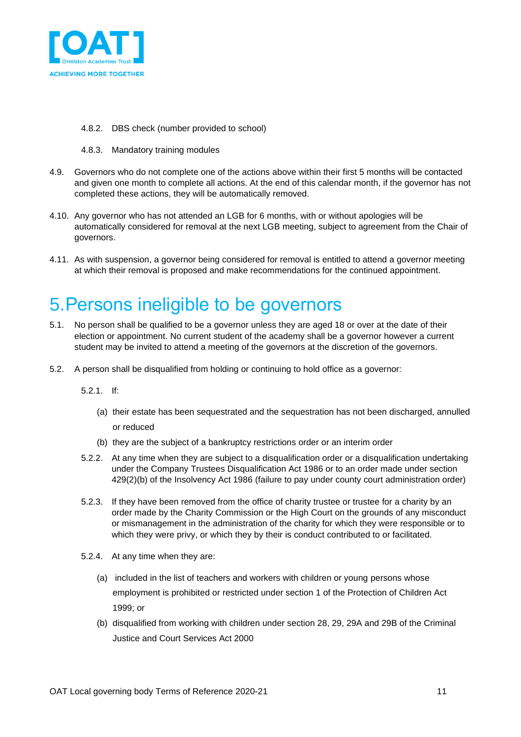

- 4.8.2. DBS check (number provided to school)
- 4.8.3. Mandatory training modules
- 4.9. Governors who do not complete one of the actions above within their first 5 months will be contacted and given one month to complete all actions. At the end of this calendar month, if the governor has not completed these actions, they will be automatically removed.
- 4.10. Any governor who has not attended an LGB for 6 months, with or without apologies will be automatically considered for removal at the next LGB meeting, subject to agreement from the Chair of governors.
- 4.11. As with suspension, a governor being considered for removal is entitled to attend a governor meeting at which their removal is proposed and make recommendations for the continued appointment.

## <span id="page-10-0"></span>5.Persons ineligible to be governors

- 5.1. No person shall be qualified to be a governor unless they are aged 18 or over at the date of their election or appointment. No current student of the academy shall be a governor however a current student may be invited to attend a meeting of the governors at the discretion of the governors.
- 5.2. A person shall be disqualified from holding or continuing to hold office as a governor:

5.2.1. If:

- (a) their estate has been sequestrated and the sequestration has not been discharged, annulled or reduced
- (b) they are the subject of a bankruptcy restrictions order or an interim order
- 5.2.2. At any time when they are subject to a disqualification order or a disqualification undertaking under the Company Trustees Disqualification Act 1986 or to an order made under section 429(2)(b) of the Insolvency Act 1986 (failure to pay under county court administration order)
- 5.2.3. If they have been removed from the office of charity trustee or trustee for a charity by an order made by the Charity Commission or the High Court on the grounds of any misconduct or mismanagement in the administration of the charity for which they were responsible or to which they were privy, or which they by their is conduct contributed to or facilitated.
- 5.2.4. At any time when they are:
	- (a) included in the list of teachers and workers with children or young persons whose employment is prohibited or restricted under section 1 of the Protection of Children Act 1999; or
	- (b) disqualified from working with children under section 28, 29, 29A and 29B of the Criminal Justice and Court Services Act 2000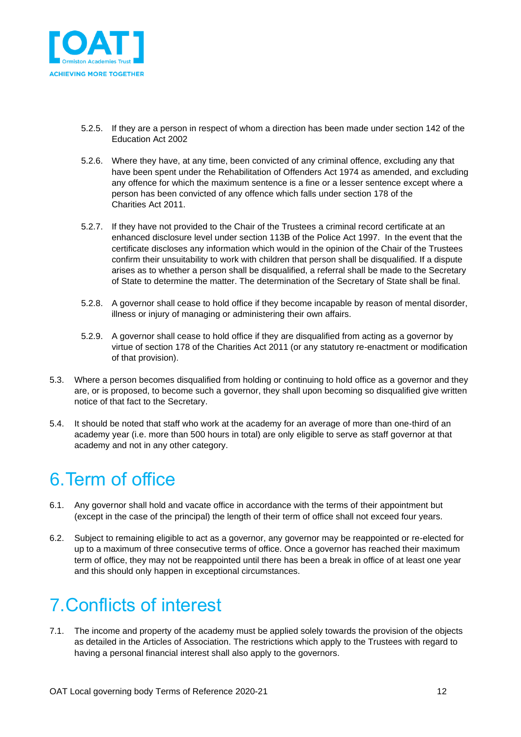

- 5.2.5. If they are a person in respect of whom a direction has been made under section 142 of the Education Act 2002
- 5.2.6. Where they have, at any time, been convicted of any criminal offence, excluding any that have been spent under the Rehabilitation of Offenders Act 1974 as amended, and excluding any offence for which the maximum sentence is a fine or a lesser sentence except where a person has been convicted of any offence which falls under section 178 of the Charities Act 2011.
- 5.2.7. If they have not provided to the Chair of the Trustees a criminal record certificate at an enhanced disclosure level under section 113B of the Police Act 1997. In the event that the certificate discloses any information which would in the opinion of the Chair of the Trustees confirm their unsuitability to work with children that person shall be disqualified. If a dispute arises as to whether a person shall be disqualified, a referral shall be made to the Secretary of State to determine the matter. The determination of the Secretary of State shall be final.
- 5.2.8. A governor shall cease to hold office if they become incapable by reason of mental disorder, illness or injury of managing or administering their own affairs.
- 5.2.9. A governor shall cease to hold office if they are disqualified from acting as a governor by virtue of section 178 of the Charities Act 2011 (or any statutory re-enactment or modification of that provision).
- 5.3. Where a person becomes disqualified from holding or continuing to hold office as a governor and they are, or is proposed, to become such a governor, they shall upon becoming so disqualified give written notice of that fact to the Secretary.
- 5.4. It should be noted that staff who work at the academy for an average of more than one-third of an academy year (i.e. more than 500 hours in total) are only eligible to serve as staff governor at that academy and not in any other category.

## <span id="page-11-0"></span>6.Term of office

- 6.1. Any governor shall hold and vacate office in accordance with the terms of their appointment but (except in the case of the principal) the length of their term of office shall not exceed four years.
- 6.2. Subject to remaining eligible to act as a governor, any governor may be reappointed or re-elected for up to a maximum of three consecutive terms of office. Once a governor has reached their maximum term of office, they may not be reappointed until there has been a break in office of at least one year and this should only happen in exceptional circumstances.

# <span id="page-11-1"></span>7.Conflicts of interest

7.1. The income and property of the academy must be applied solely towards the provision of the objects as detailed in the Articles of Association. The restrictions which apply to the Trustees with regard to having a personal financial interest shall also apply to the governors.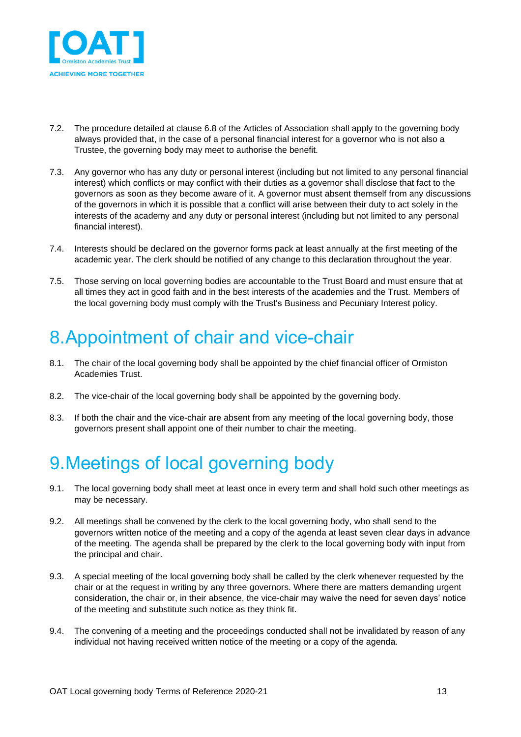

- 7.2. The procedure detailed at clause 6.8 of the Articles of Association shall apply to the governing body always provided that, in the case of a personal financial interest for a governor who is not also a Trustee, the governing body may meet to authorise the benefit.
- 7.3. Any governor who has any duty or personal interest (including but not limited to any personal financial interest) which conflicts or may conflict with their duties as a governor shall disclose that fact to the governors as soon as they become aware of it. A governor must absent themself from any discussions of the governors in which it is possible that a conflict will arise between their duty to act solely in the interests of the academy and any duty or personal interest (including but not limited to any personal financial interest).
- 7.4. Interests should be declared on the governor forms pack at least annually at the first meeting of the academic year. The clerk should be notified of any change to this declaration throughout the year.
- 7.5. Those serving on local governing bodies are accountable to the Trust Board and must ensure that at all times they act in good faith and in the best interests of the academies and the Trust. Members of the local governing body must comply with the Trust's Business and Pecuniary Interest policy.

## <span id="page-12-0"></span>8.Appointment of chair and vice-chair

- 8.1. The chair of the local governing body shall be appointed by the chief financial officer of Ormiston Academies Trust.
- 8.2. The vice-chair of the local governing body shall be appointed by the governing body.
- 8.3. If both the chair and the vice-chair are absent from any meeting of the local governing body, those governors present shall appoint one of their number to chair the meeting.

# <span id="page-12-1"></span>9.Meetings of local governing body

- 9.1. The local governing body shall meet at least once in every term and shall hold such other meetings as may be necessary.
- 9.2. All meetings shall be convened by the clerk to the local governing body, who shall send to the governors written notice of the meeting and a copy of the agenda at least seven clear days in advance of the meeting. The agenda shall be prepared by the clerk to the local governing body with input from the principal and chair.
- 9.3. A special meeting of the local governing body shall be called by the clerk whenever requested by the chair or at the request in writing by any three governors. Where there are matters demanding urgent consideration, the chair or, in their absence, the vice-chair may waive the need for seven days' notice of the meeting and substitute such notice as they think fit.
- 9.4. The convening of a meeting and the proceedings conducted shall not be invalidated by reason of any individual not having received written notice of the meeting or a copy of the agenda.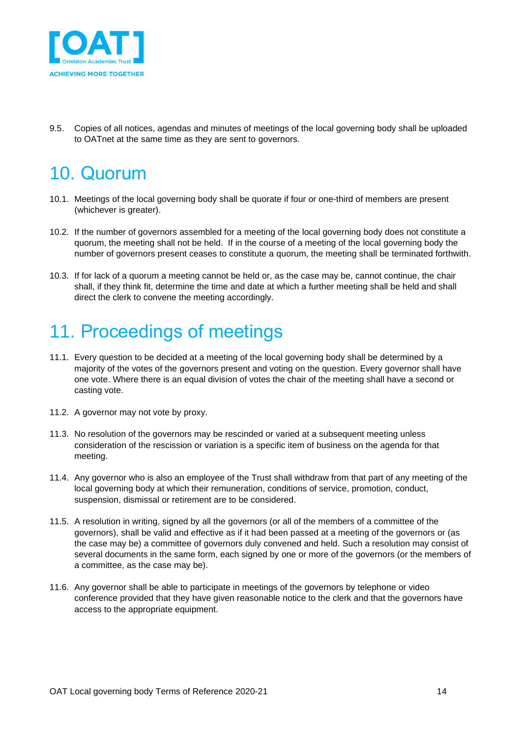

9.5. Copies of all notices, agendas and minutes of meetings of the local governing body shall be uploaded to OATnet at the same time as they are sent to governors.

## <span id="page-13-0"></span>10. Quorum

- 10.1. Meetings of the local governing body shall be quorate if four or one-third of members are present (whichever is greater).
- 10.2. If the number of governors assembled for a meeting of the local governing body does not constitute a quorum, the meeting shall not be held. If in the course of a meeting of the local governing body the number of governors present ceases to constitute a quorum, the meeting shall be terminated forthwith.
- 10.3. If for lack of a quorum a meeting cannot be held or, as the case may be, cannot continue, the chair shall, if they think fit, determine the time and date at which a further meeting shall be held and shall direct the clerk to convene the meeting accordingly.

# <span id="page-13-1"></span>11. Proceedings of meetings

- 11.1. Every question to be decided at a meeting of the local governing body shall be determined by a majority of the votes of the governors present and voting on the question. Every governor shall have one vote. Where there is an equal division of votes the chair of the meeting shall have a second or casting vote.
- 11.2. A governor may not vote by proxy.
- 11.3. No resolution of the governors may be rescinded or varied at a subsequent meeting unless consideration of the rescission or variation is a specific item of business on the agenda for that meeting.
- 11.4. Any governor who is also an employee of the Trust shall withdraw from that part of any meeting of the local governing body at which their remuneration, conditions of service, promotion, conduct, suspension, dismissal or retirement are to be considered.
- 11.5. A resolution in writing, signed by all the governors (or all of the members of a committee of the governors), shall be valid and effective as if it had been passed at a meeting of the governors or (as the case may be) a committee of governors duly convened and held. Such a resolution may consist of several documents in the same form, each signed by one or more of the governors (or the members of a committee, as the case may be).
- 11.6. Any governor shall be able to participate in meetings of the governors by telephone or video conference provided that they have given reasonable notice to the clerk and that the governors have access to the appropriate equipment.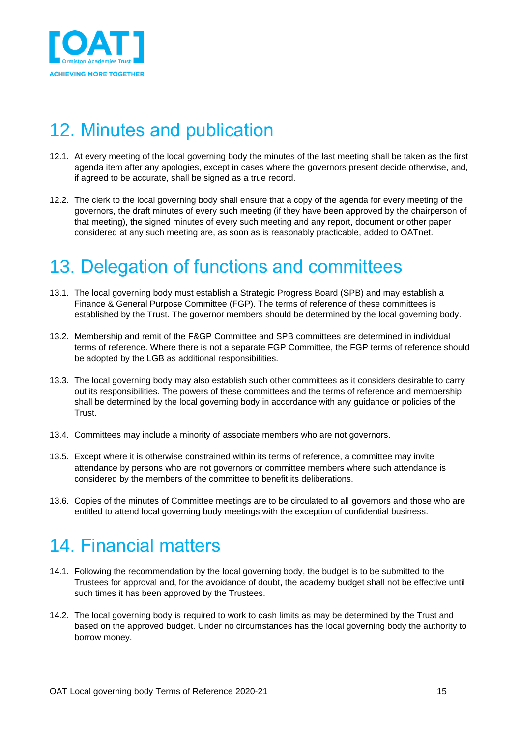

# <span id="page-14-0"></span>12. Minutes and publication

- 12.1. At every meeting of the local governing body the minutes of the last meeting shall be taken as the first agenda item after any apologies, except in cases where the governors present decide otherwise, and, if agreed to be accurate, shall be signed as a true record.
- 12.2. The clerk to the local governing body shall ensure that a copy of the agenda for every meeting of the governors, the draft minutes of every such meeting (if they have been approved by the chairperson of that meeting), the signed minutes of every such meeting and any report, document or other paper considered at any such meeting are, as soon as is reasonably practicable, added to OATnet.

# <span id="page-14-1"></span>13. Delegation of functions and committees

- 13.1. The local governing body must establish a Strategic Progress Board (SPB) and may establish a Finance & General Purpose Committee (FGP). The terms of reference of these committees is established by the Trust. The governor members should be determined by the local governing body.
- 13.2. Membership and remit of the F&GP Committee and SPB committees are determined in individual terms of reference. Where there is not a separate FGP Committee, the FGP terms of reference should be adopted by the LGB as additional responsibilities.
- 13.3. The local governing body may also establish such other committees as it considers desirable to carry out its responsibilities. The powers of these committees and the terms of reference and membership shall be determined by the local governing body in accordance with any guidance or policies of the Trust.
- 13.4. Committees may include a minority of associate members who are not governors.
- 13.5. Except where it is otherwise constrained within its terms of reference, a committee may invite attendance by persons who are not governors or committee members where such attendance is considered by the members of the committee to benefit its deliberations.
- 13.6. Copies of the minutes of Committee meetings are to be circulated to all governors and those who are entitled to attend local governing body meetings with the exception of confidential business.

## <span id="page-14-2"></span>14. Financial matters

- 14.1. Following the recommendation by the local governing body, the budget is to be submitted to the Trustees for approval and, for the avoidance of doubt, the academy budget shall not be effective until such times it has been approved by the Trustees.
- 14.2. The local governing body is required to work to cash limits as may be determined by the Trust and based on the approved budget. Under no circumstances has the local governing body the authority to borrow money.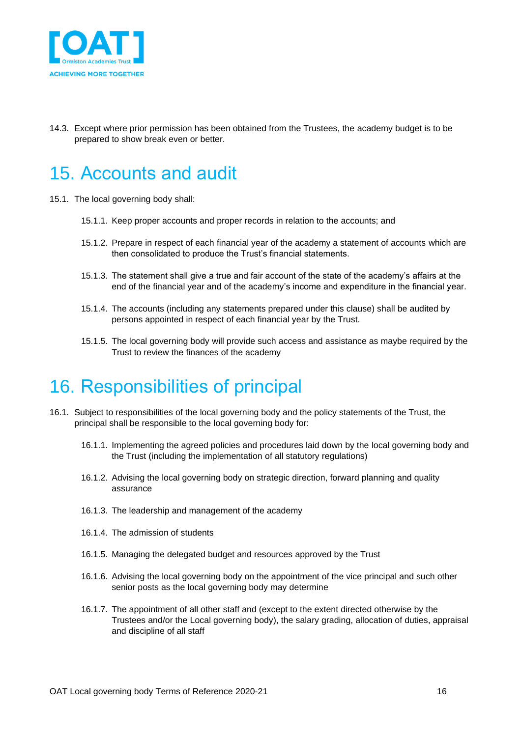

14.3. Except where prior permission has been obtained from the Trustees, the academy budget is to be prepared to show break even or better.

#### <span id="page-15-0"></span>15. Accounts and audit

- 15.1. The local governing body shall:
	- 15.1.1. Keep proper accounts and proper records in relation to the accounts; and
	- 15.1.2. Prepare in respect of each financial year of the academy a statement of accounts which are then consolidated to produce the Trust's financial statements.
	- 15.1.3. The statement shall give a true and fair account of the state of the academy's affairs at the end of the financial year and of the academy's income and expenditure in the financial year.
	- 15.1.4. The accounts (including any statements prepared under this clause) shall be audited by persons appointed in respect of each financial year by the Trust.
	- 15.1.5. The local governing body will provide such access and assistance as maybe required by the Trust to review the finances of the academy

#### <span id="page-15-1"></span>16. Responsibilities of principal

- 16.1. Subject to responsibilities of the local governing body and the policy statements of the Trust, the principal shall be responsible to the local governing body for:
	- 16.1.1. Implementing the agreed policies and procedures laid down by the local governing body and the Trust (including the implementation of all statutory regulations)
	- 16.1.2. Advising the local governing body on strategic direction, forward planning and quality assurance
	- 16.1.3. The leadership and management of the academy
	- 16.1.4. The admission of students
	- 16.1.5. Managing the delegated budget and resources approved by the Trust
	- 16.1.6. Advising the local governing body on the appointment of the vice principal and such other senior posts as the local governing body may determine
	- 16.1.7. The appointment of all other staff and (except to the extent directed otherwise by the Trustees and/or the Local governing body), the salary grading, allocation of duties, appraisal and discipline of all staff